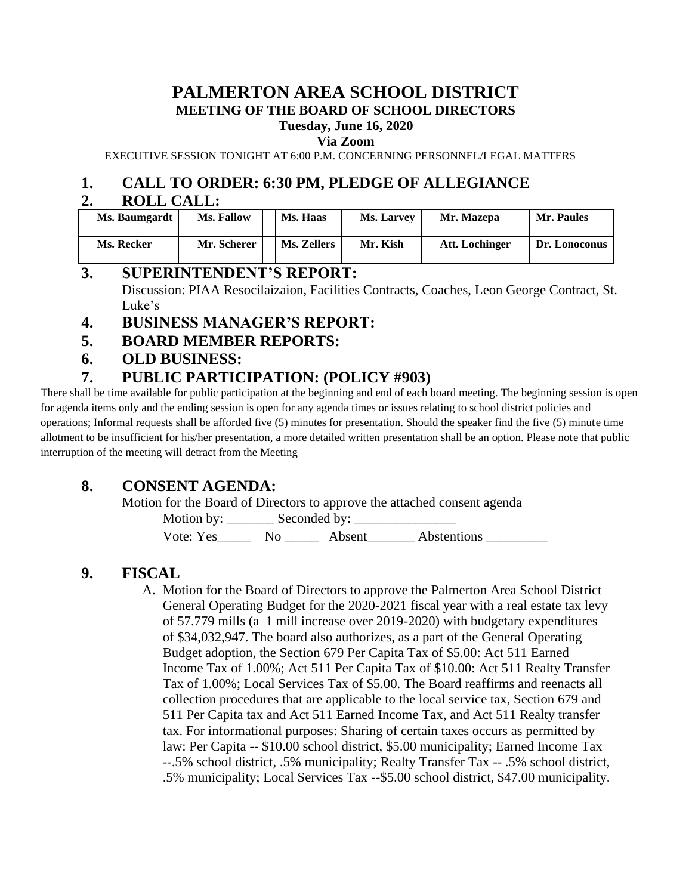# **PALMERTON AREA SCHOOL DISTRICT MEETING OF THE BOARD OF SCHOOL DIRECTORS**

#### **Tuesday, June 16, 2020**

**Via Zoom**

EXECUTIVE SESSION TONIGHT AT 6:00 P.M. CONCERNING PERSONNEL/LEGAL MATTERS

## **1. CALL TO ORDER: 6:30 PM, PLEDGE OF ALLEGIANCE**

#### **2. ROLL CALL:**

| Ms. Baumgardt | Ms. Fallow  | Ms. Haas    | <b>Ms. Larvey</b> | Mr. Mazepa     | <b>Mr. Paules</b> |
|---------------|-------------|-------------|-------------------|----------------|-------------------|
| Ms. Recker    | Mr. Scherer | Ms. Zellers | Mr. Kish          | Att. Lochinger | Dr. Lonoconus     |

#### **3. SUPERINTENDENT'S REPORT:**

Discussion: PIAA Resocilaizaion, Facilities Contracts, Coaches, Leon George Contract, St. Luke's

- **4. BUSINESS MANAGER'S REPORT:**
- **5. BOARD MEMBER REPORTS:**
- **6. OLD BUSINESS:**

### **7. PUBLIC PARTICIPATION: (POLICY #903)**

There shall be time available for public participation at the beginning and end of each board meeting. The beginning session is open for agenda items only and the ending session is open for any agenda times or issues relating to school district policies and operations; Informal requests shall be afforded five (5) minutes for presentation. Should the speaker find the five (5) minute time allotment to be insufficient for his/her presentation, a more detailed written presentation shall be an option. Please note that public interruption of the meeting will detract from the Meeting

# **8. CONSENT AGENDA:**

Motion for the Board of Directors to approve the attached consent agenda

Motion by: \_\_\_\_\_\_\_ Seconded by: \_\_\_\_\_\_\_\_\_\_\_\_\_\_\_

Vote: Yes\_\_\_\_\_\_\_ No \_\_\_\_\_\_ Absent\_\_\_\_\_\_\_ Abstentions \_\_\_\_\_\_\_\_\_

# **9. FISCAL**

A. Motion for the Board of Directors to approve the Palmerton Area School District General Operating Budget for the 2020-2021 fiscal year with a real estate tax levy of 57.779 mills (a 1 mill increase over 2019-2020) with budgetary expenditures of \$34,032,947. The board also authorizes, as a part of the General Operating Budget adoption, the Section 679 Per Capita Tax of \$5.00: Act 511 Earned Income Tax of 1.00%; Act 511 Per Capita Tax of \$10.00: Act 511 Realty Transfer Tax of 1.00%; Local Services Tax of \$5.00. The Board reaffirms and reenacts all collection procedures that are applicable to the local service tax, Section 679 and 511 Per Capita tax and Act 511 Earned Income Tax, and Act 511 Realty transfer tax. For informational purposes: Sharing of certain taxes occurs as permitted by law: Per Capita -- \$10.00 school district, \$5.00 municipality; Earned Income Tax --.5% school district, .5% municipality; Realty Transfer Tax -- .5% school district, .5% municipality; Local Services Tax --\$5.00 school district, \$47.00 municipality.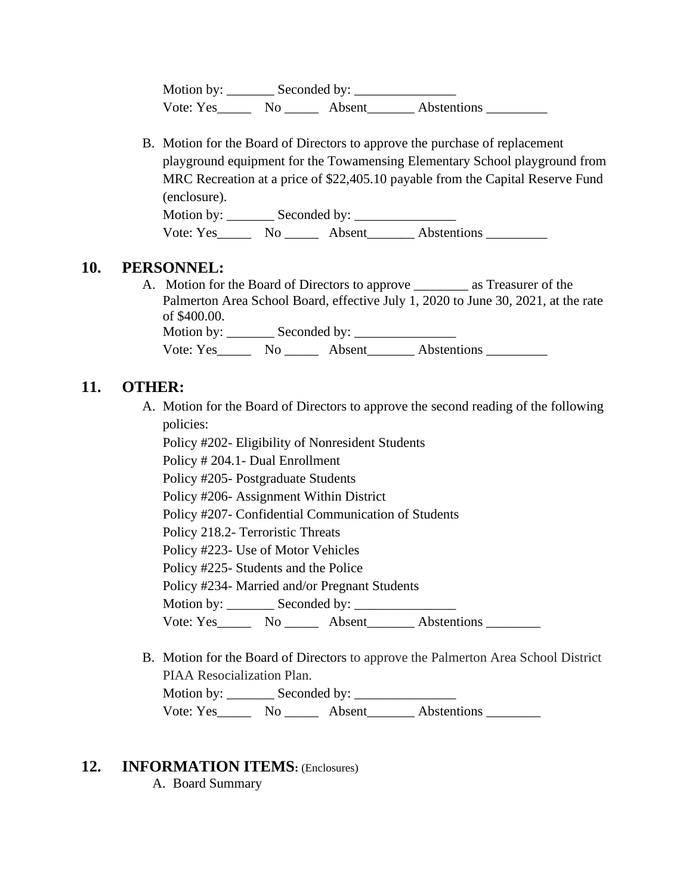Motion by: \_\_\_\_\_\_\_ Seconded by: \_\_\_\_\_\_\_\_\_\_\_\_\_\_\_ Vote: Yes\_\_\_\_\_\_\_ No \_\_\_\_\_\_\_ Absent\_\_\_\_\_\_\_\_ Abstentions \_\_\_\_\_\_\_\_\_\_

B. Motion for the Board of Directors to approve the purchase of replacement playground equipment for the Towamensing Elementary School playground from MRC Recreation at a price of \$22,405.10 payable from the Capital Reserve Fund (enclosure).

Motion by: \_\_\_\_\_\_\_ Seconded by: \_\_\_\_\_\_\_\_\_\_\_\_\_\_\_ Vote: Yes\_\_\_\_\_\_\_ No \_\_\_\_\_\_\_ Absent\_\_\_\_\_\_\_\_ Abstentions \_\_\_\_\_\_\_\_\_\_

#### **10. PERSONNEL:**

A. Motion for the Board of Directors to approve \_\_\_\_\_\_\_\_ as Treasurer of the Palmerton Area School Board, effective July 1, 2020 to June 30, 2021, at the rate of \$400.00.

Motion by: \_\_\_\_\_\_\_ Seconded by: \_\_\_\_\_\_\_\_\_\_\_\_\_\_\_ Vote: Yes\_\_\_\_\_\_\_ No \_\_\_\_\_\_ Absent\_\_\_\_\_\_\_ Abstentions \_\_\_\_\_\_\_\_\_

#### **11. OTHER:**

A. Motion for the Board of Directors to approve the second reading of the following policies:

Policy #202- Eligibility of Nonresident Students

Policy # 204.1- Dual Enrollment

Policy #205- Postgraduate Students

Policy #206- Assignment Within District

Policy #207- Confidential Communication of Students

Policy 218.2- Terroristic Threats

Policy #223- Use of Motor Vehicles

Policy #225- Students and the Police

Policy #234- Married and/or Pregnant Students

Motion by: \_\_\_\_\_\_\_ Seconded by: \_\_\_\_\_\_\_\_\_\_\_\_\_\_\_

Vote: Yes\_\_\_\_\_\_\_ No \_\_\_\_\_\_ Absent\_\_\_\_\_\_\_ Abstentions \_\_\_\_\_\_\_\_\_

B. Motion for the Board of Directors to approve the Palmerton Area School District PIAA Resocialization Plan.

Motion by: Seconded by: Vote: Yes\_\_\_\_\_\_ No \_\_\_\_\_\_ Absent\_\_\_\_\_\_\_ Abstentions \_\_\_\_\_\_\_\_

#### **12. INFORMATION ITEMS:** (Enclosures)

A. Board Summary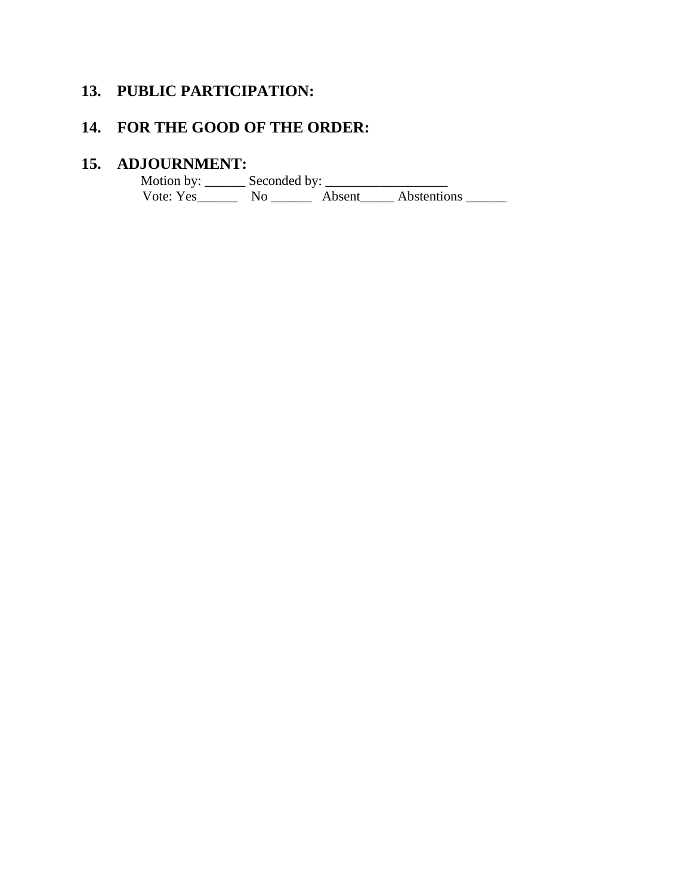# **13. PUBLIC PARTICIPATION:**

# **14. FOR THE GOOD OF THE ORDER:**

#### **15. ADJOURNMENT:**

Motion by:  $\_\_\_\_\$  Seconded by:  $\_\_\_\_\_\_\_\_\_\_\_\_\_\_\_\_\_\_$ Vote: Yes\_\_\_\_\_\_\_\_ No \_\_\_\_\_\_\_ Absent\_\_\_\_\_ Abstentions \_\_\_\_\_\_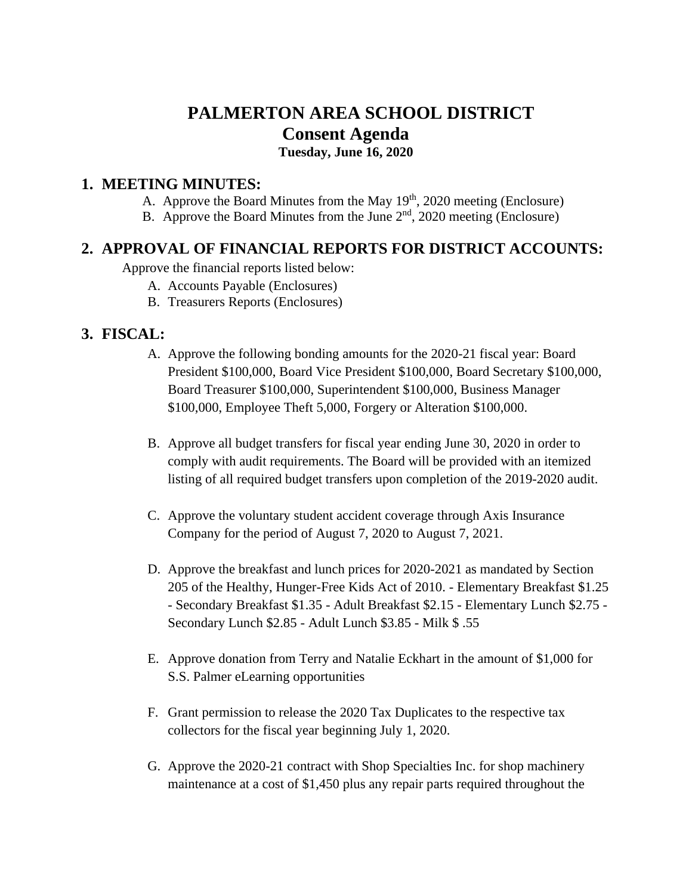# **PALMERTON AREA SCHOOL DISTRICT Consent Agenda**

**Tuesday, June 16, 2020**

#### **1. MEETING MINUTES:**

- A. Approve the Board Minutes from the May  $19<sup>th</sup>$ , 2020 meeting (Enclosure)
- B. Approve the Board Minutes from the June 2<sup>nd</sup>, 2020 meeting (Enclosure)

# **2. APPROVAL OF FINANCIAL REPORTS FOR DISTRICT ACCOUNTS:**

Approve the financial reports listed below:

- A. Accounts Payable (Enclosures)
- B. Treasurers Reports (Enclosures)

# **3. FISCAL:**

- A. Approve the following bonding amounts for the 2020-21 fiscal year: Board President \$100,000, Board Vice President \$100,000, Board Secretary \$100,000, Board Treasurer \$100,000, Superintendent \$100,000, Business Manager \$100,000, Employee Theft 5,000, Forgery or Alteration \$100,000.
- B. Approve all budget transfers for fiscal year ending June 30, 2020 in order to comply with audit requirements. The Board will be provided with an itemized listing of all required budget transfers upon completion of the 2019-2020 audit.
- C. Approve the voluntary student accident coverage through Axis Insurance Company for the period of August 7, 2020 to August 7, 2021.
- D. Approve the breakfast and lunch prices for 2020-2021 as mandated by Section 205 of the Healthy, Hunger-Free Kids Act of 2010. - Elementary Breakfast \$1.25 - Secondary Breakfast \$1.35 - Adult Breakfast \$2.15 - Elementary Lunch \$2.75 - Secondary Lunch \$2.85 - Adult Lunch \$3.85 - Milk \$ .55
- E. Approve donation from Terry and Natalie Eckhart in the amount of \$1,000 for S.S. Palmer eLearning opportunities
- F. Grant permission to release the 2020 Tax Duplicates to the respective tax collectors for the fiscal year beginning July 1, 2020.
- G. Approve the 2020-21 contract with Shop Specialties Inc. for shop machinery maintenance at a cost of \$1,450 plus any repair parts required throughout the